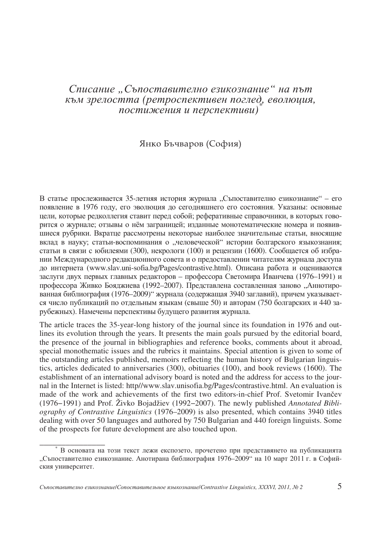## Списание "Съпоставително езикознание" на път към зрелостта (ретроспективен поглед, еволюция, постижения и перспективи)

## Янко Бъчваров (София)

В статье прослеживается 35-летняя история журнала "Съпоставително езикознание" - его появление в 1976 году, его эволюция до сегодняшнего его состояния. Указаны: основные цели, которые редколлегия ставит перед собой; реферативные справочники, в которых говорится о журнале; отзывы о нём заграницей; изданные монотематические номера и появившиеся рубрики. Вкратце рассмотрены некоторые наиболее значительные статьи, вносящие вклад в науку; статьи-воспоминания о "человеческой" истории болгарского языкознания; статьи в связи с юбилеями (300), некрологи (100) и рецензии (1600). Сообщается об избрании Международного редакционного совета и о предоставлении читателям журнала доступа до интернета (www.slav.uni-sofia.bg/Pages/contrastive.html). Описана работа и оцениваются заслуги двух первых главных редакторов - профессора Светомира Иванчева (1976-1991) и профессора Живко Бояджиева (1992-2007). Представлена составленная заново "Аннотированная библиография (1976-2009)" журнала (содержащая 3940 заглавий), причем указывается число публикаций по отдельным языкам (свыше 50) и авторам (750 болгарских и 440 зарубежных). Намечены перспективы будущего развития журнала.

The article traces the 35-year-long history of the journal since its foundation in 1976 and outlines its evolution through the years. It presents the main goals pursued by the editorial board, the presence of the journal in bibliographies and reference books, comments about it abroad, special monothematic issues and the rubrics it maintains. Special attention is given to some of the outstanding articles published, memoirs reflecting the human history of Bulgarian linguistics, articles dedicated to anniversaries (300), obituaries (100), and book reviews (1600). The establishment of an international advisory board is noted and the address for access to the journal in the Internet is listed: http//www.slav.unisofia.bg/Pages/contrastive.html. An evaluation is made of the work and achievements of the first two editors-in-chief Prof. Svetomir Ivančev (1976−1991) and Prof. Živko Bojadžiev (1992−2007). The newly published *Annotated Bibliography of Contrastive Linguistics* (1976–2009) is also presented, which contains 3940 titles dealing with over 50 languages and authored by 750 Bulgarian and 440 foreign linguists. Some of the prospects for future development are also touched upon.

\_\_\_\_\_\_\_\_\_\_\_\_\_\_\_

В основата на този текст лежи експозето, прочетено при представянето на публикацията "Съпоставително езикознание. Анотирана библиография 1976–2009" на 10 март 2011 г. в Софийския университет.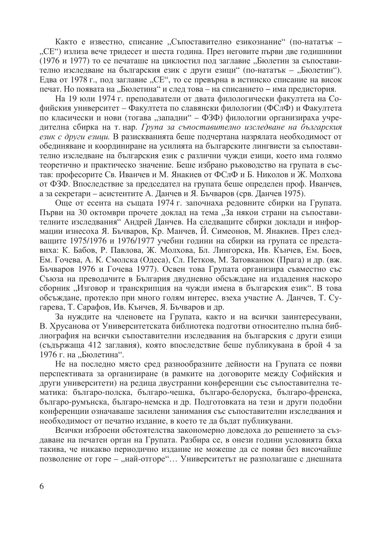Както е известно, списание "Съпоставително езикознание" (по-нататък -"СЕ") излиза вече тридесет и шеста година. През неговите първи две годишнини (1976 и 1977) то се печаташе на циклостил под заглавие "Бюлетин за съпоставително изследване на българския език с други езици" (по-нататък - "Бюлетин"). Едва от 1978 г., под заглавие "СЕ", то се превърна в истинско списание на висок печат. Но появата на "Бюлетина" и след това – на списанието – има предистория.

На 19 юли 1974 г. преподаватели от двата филологически факултета на Софийския университет – Факултета по славянски филологии (ФСлФ) и Факултета по класически и нови (тогава "западни" – ФЗФ) филологии организираха учрелителна сбирка на т. нар. Група за съпоставително изследване на българския език с други езици. В разискванията беше подчертана назрялата необходимост от обединяване и координиране на усилията на българските лингвисти за съпоставително изследване на българския език с различни чужди езици, което има голямо теоретично и практическо значение. Беше избрано ръководство на групата в състав: професорите Св. Иванчев и М. Янакиев от ФСлФ и Б. Николов и Ж. Молхова от ФЗФ. Впоследствие за председател на групата беше определен проф. Иванчев, а за секретари – асистентите А. Данчев и Я. Бъчваров (срв. Данчев 1975).

Още от есента на същата 1974 г. започнаха редовните сбирки на Групата. Първи на 30 октомври прочете доклад на тема "За някои страни на съпоставителните изследвания" Андрей Данчев. На следващите сбирки доклади и информации изнесоха Я. Бъчваров, Кр. Манчев, Й. Симеонов, М. Янакиев. През следващите 1975/1976 и 1976/1977 учебни години на сбирки на групата се представиха: К. Бабов, Р. Павлова, Ж. Молхова, Бл. Лингорска, Ив. Кънчев, Ем. Боев, Ем. Гочева, А. К. Смолска (Одеса), Сл. Петков, М. Затовканюк (Прага) и др. (вж. Бъчваров 1976 и Гочева 1977). Освен това Групата организира съвместно със Съюза на преводачите в България двудневно обсъждане на издадения наскоро сборник "Изговор и транскрипция на чужди имена в българския език". В това обсъждане, протекло при много голям интерес, взеха участие А. Данчев, Т. Сугарева, Т. Сарафов, Ив. Кънчев, Я. Бъчваров и др.

За нуждите на членовете на Групата, както и на всички заинтересувани, В. Хрусанова от Университетската библиотека подготви относително пълна библиография на всички съпоставителни изследвания на българския с други езици (съдържаща 412 заглавия), която впоследствие беше публикувана в брой 4 за 1976 г. на "Бюлетина".

Не на последно място сред разнообразните дейности на Групата се появи перспективата за организиране (в рамките на договорите между Софийския и други университети) на редица двустранни конференции със съпоставителна тематика: бытаро-полска, бытаро-чешка, бытаро-белоруска, бытаро-френска, българо-румънска, българо-немска и др. Подготовката на тези и други подобни конференции означаваше засилени занимания със съпоставителни изследвания и необходимост от печатно издание, в което те да бъдат публикувани.

Всички изброени обстоятелства закономерно доведоха до решението за създаване на печатен орган на Групата. Разбира се, в онези години условията бяха такива, че никакво периодично издание не можеше да се появи без височайше позволение от горе - "най-отгоре"... Университетът не разполагаше с днешната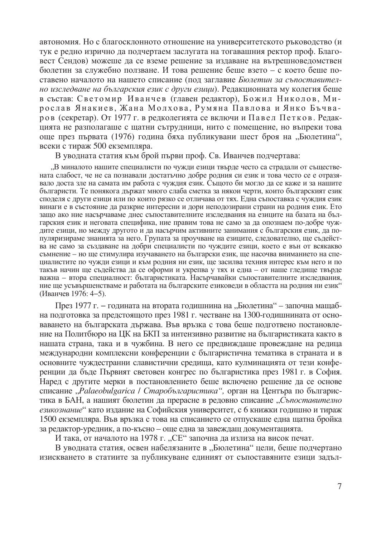автономия. Но с благосклонното отношение на университетското ръководство (и тук е редно изрично да подчертаем заслугата на тогавашния ректор проф. Благовест Сендов) можеше да се вземе решение за издаване на вътрешноведомствен бюлетин за служебно ползване. И това решение беше взето – с което беше поставено началото на нашето списание (под заглавие Бюлетин за съпоставително изследване на българския език с други езици). Редакционната му колегия беше в състав: Светомир Иванчев (главен редактор), Божил Николов, Мирослав Янакиев, Жана Молхова, Румяна Павлова и Янко Бъчваров (секретар). От 1977 г. в редколегията се включи и Павел Петков. Редакцията не разполагаше с шатни сътрудници, нито с помещение, но въпреки това още през първата (1976) година бяха публикувани шест броя на "Бюлетина", всеки с тираж 500 екземпляра.

В уводната статия към брой първи проф. Св. Иванчев подчертава:

"В миналото нашите специалисти по чужди езици твърде често са страдали от съществената слабост, че не са познавали достатъчно добре родния си език и това често се е отразявало доста зле на самата им работа с чуждия език. Същото би могло да се каже и за нашите българисти. Те понякога държат много слаба сметка за някои черти, които българският език споделя с други езици или по които рязко се отличава от тях. Една съпоставка с чуждия език винаги е в състояние да разкрие интересни и дори неподозирани страни на родния език. Ето защо ако ние насърчаваме днес съпоставителните изследвания на езиците на базата на българския език и неговата специфика, ние правим това не само за да опознаем по-добре чуждите езици, но между другото и да насърчим активните занимания с българския език, да популяризираме знанията за него. Групата за проучване на езиците, следователно, ще съдейства не само за създаване на добри специалисти по чуждите езици, което е вън от всякакво съмнение - но ще стимулира изучаването на български език, ще насочва вниманието на специалистите по чужди езици и към родния ни език, ще засилва техния интерес към него и по такъв начин ще съдейства да се оформи и укрепва у тях и една – от наше гледище твърде важна - втора специалност: българистиката. Насърчавайки съпоставителните изследвания, ние ще усъвършенстваме и работата на българските езиковеди в областта на родния ни език" (Иванчев 1976: 4-5).

През 1977 г. – годината на втората годишнина на "Бюлетина" – започна мащабна подготовка за предстоящото през 1981 г. честване на 1300-годишнината от основаването на българската държава. Във връзка с това беше подготвено постановление на Политбюро на ЦК на БКП за интензивно развитие на българистиката както в нашата страна, така и в чужбина. В него се предвиждаше провеждане на редица международни комплексни конференции с българистична тематика в страната и в основните чуждестранни славистични средища, като кулминацията от тези конференции да бъде Първият световен конгрес по българистика през 1981 г. в София. Наред с другите мерки в постановлението беше включено решение да се основе списание "Palaeobulgarica / Старобългаристика", орган на Центъра по българистика в БАН, а нашият бюлетин да прерасне в редовно списание "Съпоставително езикознание" като издание на Софийския университет, с 6 книжки годишно и тираж 1500 екземпляра. Във връзка с това на списанието се отпускаше една щатна бройка за редактор-уредник, а по-късно - още една за завеждащ документацията.

И така, от началото на 1978 г. "СЕ" започна да излиза на висок печат.

В уводната статия, освен набелязаните в "Бюлетина" цели, беше подчертано изискването в статиите за публикуване единият от съпоставяните езици задъл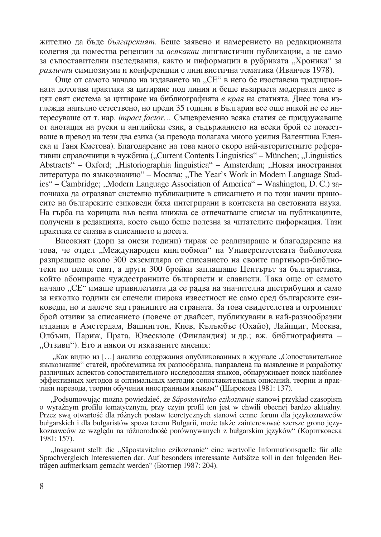жително да бъде българският. Беше заявено и намерението на редакционната колегия да помества рецензии за всякакви лингвистични публикации, а не само за съпоставителни изследвания, както и информации в рубриката "Хроника" за различни симпозиуми и конференции с лингвистична тематика (Иванчев 1978).

Още от самото начало на издаването на "СЕ" в него бе изоставена традиционната дотогава практика за цитиране под линия и беше възприета модерната днес в цял свят система за цитиране на библиографията в края на статията. Днес това изглежда напълно естествено, но преди 35 години в България все още никой не се интересуваше от т. нар. *impact factor...* Същевременно всяка статия се придружаваше от анотация на руски и английски език, а сълържанието на всеки брой се поместваше в превод на тези два езика (за превода полагаха много усилия Валентина Еленска и Таня Кметова). Благодарение на това много скоро най-авторитетните реферативни справочници в чужбина ("Current Contents Linguistics" – München; "Linguistics Abstracts" – Oxford; "Historiographia linguistica" – Amsterdam; "Новая иностранная литература по языкознанию" – Москва; "The Year's Work in Modern Language Studies" – Cambridge; "Modern Language Association of America" – Washington, D. C.) saпочнаха да отразяват системно публикациите в списанието и по този начин приносите на българските езиковеди бяха интегрирани в контекста на световната наука. На гърба на корицата във всяка книжка се отпечатваше списък на публикациите, получени в редакцията, което също беше полезна за читателите информация. Тази практика се спазва в списанието и досега.

Високият (дори за онези години) тираж се реализираше и благодарение на това, че отдел "Международен книгообмен" на Университетската библиотека разпращаше около 300 екземпляра от списанието на своите партньори-библиотеки по целия свят, а други 300 бройки заплащаше Центърът за българистика, който абонираше чуждестранните българисти и слависти. Така още от самото начало "СЕ" имаше привилегията да се радва на значителна дистрибуция и само за няколко години си спечели широка известност не само сред българските езиковеди, но и далече зад границите на страната. За това свидетелства и огромният брой отзиви за списанието (повече от двайсет, публикувани в най-разнообразни издания в Амстердам, Вашингтон, Киев, Кълъмбъс (Охайо), Лайпциг, Москва, Олбъни, Париж, Прага, Ювескюле (Финландия) и др.; вж. библиографията – "Отзиви"). Ето и някои от изказаните мнения:

"Как видно из [...] анализа содержания опубликованных в журнале "Сопоставительное языкознание" статей, проблематика их разнообразна, направлена на выявление и разработку различных аспектов сопоставительного исследования языков, обнаруживает поиск наиболее эффективных методов и оптимальных методик сопоставительных описаний, теории и практики перевода, теории обучения иностранным языкам" (Широкова 1981: 137).

"Podsumowując można powiedzieć, że Săpostavitelno ezikoznanie stanowi przykład czasopism o wyraźnym profilu tematycznym, przy czym profil ten jest w chwili obecnej bardzo aktualny. Przez swą otwartość dla różnych postaw teoretycznych stanowi cenne forum dla językoznawców bułgarskich i dla bułgaristów spoza terenu Bułgarii, może także zainteresować szersze grono językoznawców ze względu na różnorodność porównywanych z bułgarskim języków" (Коритковска 1981: 157).

"Insgesamt stellt die "Săpostavitelno ezikoznanie" eine wertvolle Informationsquelle für alle Sprachvergleich Interessierten dar. Auf besonders interessante Aufsätze soll in den folgenden Beiträgen aufmerksam gemacht werden" (Бютнер 1987: 204).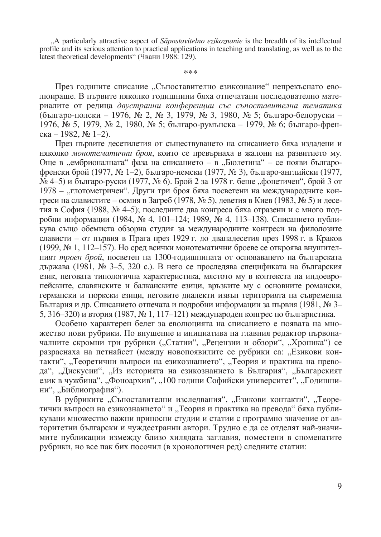"A particularly attractive aspect of Săpostavitelno ezikoznanie is the breadth of its intellectual profile and its serious attention to practical applications in teaching and translating, as well as to the latest theoretical developments" (Чвани 1988: 129).

\*\*\*

През годините списание "Съпоставително езикознание" непрекъснато еволюираше. В първите няколко годишнини бяха отпечатани последователно материалите от редица двустранни конференции със съпоставителна тематика (българо-полски – 1976, № 2, № 3, 1979, № 3, 1980, № 5; българо-белоруски – 1976, № 5, 1979, № 2, 1980, № 5; българо-румънска – 1979, № 6; българо-френска − 1982, № 1–2).

През първите десетилетия от съществуването на списанието бяха издадени и няколко монотематични броя, които се превърнаха в жалони на развитието му. Още в "ембрионалната" фаза на списанието - в "Бюлетина" - се появи българофренски брой (1977, № 1-2), българо-немски (1977, № 3), българо-английски (1977,  $\mathcal{N}_2$  4—5) и българо-руски (1977,  $\mathcal{N}_2$  6). Брой 2 за 1978 г. беше "фонетичен", брой 3 от 1978 – "глотометричен". Други три броя бяха посветени на международните конгреси на славистите – осмия в Загреб (1978, № 5), деветия в Киев (1983, № 5) и десетия в София (1988, № 4-5); последните два конгреса бяха отразени и с много подробни информации (1984, № 4, 101-124; 1989, № 4, 113-138). Списанието публикува също обемиста обзорна студия за международните конгреси на филолозите слависти – от първия в Прага през 1929 г. до дванадесетия през 1998 г. в Краков (1999, № 1, 112–157). Но сред всички монотематични броеве се откроява внушителният троен брой, посветен на 1300-годишнината от основаването на българската държава (1981, № 3-5, 320 с.). В него се проследява спецификата на българския език, неговата типологична характеристика, мястото му в контекста на индоевропейските, славянските и балканските езици, връзките му с основните романски, германски и тюркски езици, неговите диалекти извън територията на съвременна България и др. Списанието отпечата и подробни информации за първия (1981, № 3-5, 316–320) и втория (1987, № 1, 117–121) международен конгрес по българистика.

Особено характерен белег за еволюцията на списанието е появата на множество нови рубрики. По внушение и инициатива на главния редактор първоначалните скромни три рубрики ("Статии", "Рецензии и обзори", "Хроника") се разраснаха на петнайсет (между новопоявилите се рубрики са: "Езикови контакти", "Теоретични въпроси на езикознанието", "Теория и практика на превода", "Дискусии", "Из историята на езикознанието в България", "Българският език в чужбина", "Фоноархив", "100 години Софийски университет", "Годишнини", "Библиография").

В рубриките "Съпоставителни изследвания", "Езикови контакти", "Теоретични въпроси на езикознанието" и "Теория и практика на превода" бяха публикувани множество важни приносни студии и статии с програмно значение от авторитетни български и чуждестранни автори. Трудно е да се отделят най-значимите публикации измежду близо хилядата заглавия, поместени в споменатите рубрики, но все пак бих посочил (в хронологичен ред) следните статии: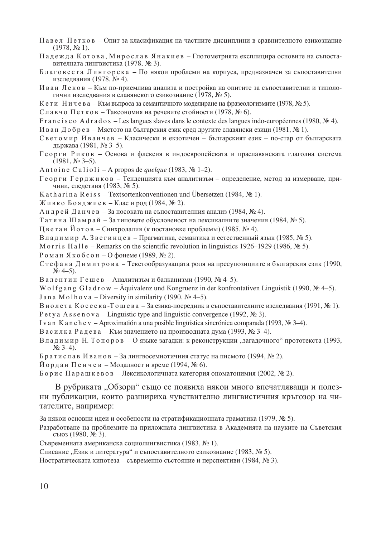- Павел Петков Опит за класификация на частните дисциплини в сравнителното езикознание  $(1978, N<sub>2</sub> 1).$
- Надежда Котова, Мирослав Янакиев Глотометрията експлицира основите на съпоставителната лингвистика (1978, № 3).
- Благовеста Лингорска По някои проблеми на корпуса, предназначен за съпоставителни изследвания (1978, № 4).
- Иван Леков Към по-приемлива анализа и постройка на опитите за съпоставителни и типологични изследвания в славянското езикознание (1978, № 5).
- Кети Ничева Към въпроса за семантичното моделиране на фразеологизмите (1978, № 5).

Славчо Петков – Таксономия на речевите стойности (1978, № 6).

F r a n c i s c o A d r a d o s – Les langues slaves dans le contexte des langues indo-européennes (1980,  $\mathcal{N} \subseteq 4$ ).

Иван Добрев – Мястото на българския език сред другите славянски езици (1981, № 1).

- Светомир Иванчев Класически и екзотичен българският език по-стар от българската лържава (1981, № 3–5).
- Георги Риков Основа и флексия в индоевропейската и праславянската глаголна система  $(1981, N<sub>2</sub> 3-5).$
- A n t o i n e C u l i o l i A propos de *quelque* (1983,  $\mathcal{N}_2$  1–2).
- $\Gamma$ еорги Герджиков Тенденцията към аналитизъм определение, метод за измерване, причини, следствия (1983, № 5).
- K a th a r i n a R e i s s Textsortenkonventionen und Übersetzen (1984,  $N_2$  1).

Живко Бояджиев – Клас и род (1984, № 2).

Андрей Данчев – За посоката на съпоставителния анализ (1984, № 4).

Татя на Шамрай – За типовете обусловеност на лексикалните значения (1984,  $\mathbb{N}_2$  5).

Цветан Йотов – Синхролалия (к постановке проблемы) (1985, № 4).

Владимир А. Звегинцев – Прагматика, семантика и естественный язык (1985,  $N_2$  5).

M o r r is H a l l e – Remarks on the scientific revolution in linguistics 1926–1929 (1986,  $N_e$  5).

- $P$ оман Якобсон Офонеме (1989, № 2).
- Стефана Димитрова Текстообразуващата роля на пресупозициите в българския език (1990,  $\mathcal{N}$ <sup>0</sup> 4–5).
- Валентин Гешев Аналитизъм и балканизми (1990, № 4-5).

W o l f g a n g G l a d r o w – Äquivalenz und Kongruenz in der konfrontativen Linguistik (1990,  $\mathcal{N} \cong 4-5$ ). J an a M o l h o v a – Diversity in similarity (1990,  $\mathcal{N}_2$  4–5).

В и о лета Косеска-Тошева – За езика-посредник в съпоставителните изследвания (1991, №1).

- P e t y a A s s e n o v a Linguistic type and linguistic convergence (1992,  $\mathcal{N}_2$  3).
- I v a n K a n c h e v Aproximatión a una posible lingüística sincrónica comparada (1993,  $\mathcal{N} \subseteq 3-4$ ).
- Василка Радева Към значението на производната дума (1993, № 3-4).
- Владимир Н. Топоров О языке загадки: к реконструкции "загадочного" прототекста (1993,  $N_2$  3–4).

Братислав Иванов – Залингвосемиотичния статус на писмото (1994, № 2).

И ордан Пенчев – Модалност и време (1994, № 6).

 $\overline{b}$ орис Парашкевов – Лексикологичната категория ономатонимия (2002, № 2).

В рубриката "Обзори" също се появиха някои много впечатляващи и полезни публикации, които разшириха чувствително лингвистичния кръгозор на читателите, например:

За някои основни илеи и особености на стратификационната граматика (1979,  $\mathbb{N}_2$  5).

Разработване на проблемите на приложната лингвистика в Академията на науките на Съветския съюз (1980,  $N_2$  3).

Съвременната американска социолингвистика (1983, № 1).

Списание "Език и литература" и съпоставителното езикознание (1983,  $N_2$  5).

Ностратическата хипотеза – съвременно състояние и перспективи (1984, № 3).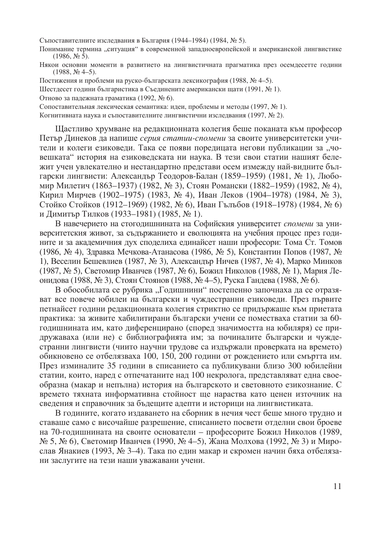Съпоставителните изследвания в България (1944-1984) (1984, № 5).

Понимание термина "ситуация" в современной западноевропейской и американской лингвистике  $(1986, N<sub>2</sub> 5).$ 

Някои основни моменти в развитието на лингвистичната прагматика през осемдесетте години  $(1988, N<sub>2</sub> 4-5).$ 

Постижения и проблеми на руско-българската лексикография (1988, № 4-5).

Шестдесет години българистика в Съединените американски щати (1991, № 1).

Отново за падежната граматика (1992, № 6).

Сопоставительная лексическая семантика: идеи, проблемы и методы (1997, № 1).

Когнитивната наука и съпоставителните лингвистични изследвания (1997, № 2).

Щастливо хрумване на редакционната колегия беше поканата към професор Петър Динеков да напише серия статии-спомени за своите университетски учители и колеги езиковеди. Така се появи поредицата негови публикации за "човешката" история на езиковедската ни наука. В тези свои статии нашият бележит учен увлекателно и нестандартно представи осем измежду най-видните български лингвисти: Александър Теодоров-Балан (1859–1959) (1981, № 1), Любомир Милетич (1863–1937) (1982, № 3), Стоян Романски (1882–1959) (1982, № 4), Кирил Мирчев (1902–1975) (1983, № 4), Иван Леков (1904–1978) (1984, № 3), Стойко Стойков (1912–1969) (1982, № 6), Иван Гълъбов (1918–1978) (1984, № 6) и Димитър Тилков (1933–1981) (1985, № 1).

В навечерието на стогодишнината на Софийския университет спомени за университетския живот, за съдържанието и еволюцията на учебния процес през годините и за академичния дух споделиха единайсет наши професори: Тома Ст. Томов (1986, № 4), Здравка Мечкова-Атанасова (1986, № 5), Константин Попов (1987, № 1), Веселин Бешевлиев (1987, № 3), Александър Ничев (1987, № 4), Марко Минков (1987, № 5), Светомир Иванчев (1987, № 6), Божил Николов (1988, № 1), Мария Леонидова (1988, № 3), Стоян Стоянов (1988, № 4-5), Руска Гандева (1988, № 6).

В обособилата се рубрика "Годишнини" постепенно започнаха да се отразяват все повече юбилеи на български и чуждестранни езиковеди. През първите петнайсет години редакционната колегия стриктно се придържаше към приетата практика: за живите хабилитирани български учени се поместваха статии за 60годишнината им, като диференцирано (според значимостта на юбиляря) се придружаваха (или не) с библиографията им; за починалите български и чуждестранни лингвисти (чиито научни трудове са издържали проверката на времето) обикновено се отбелязваха 100, 150, 200 години от рождението или смъртта им. През изминалите 35 години в списанието са публикувани близо 300 юбилейни статии, които, наред с отпечатаните над 100 некролога, представляват една своеобразна (макар и непълна) история на българското и световното езикознание. С времето тяхната информативна стойност ще нараства като ценен източник на сведения и справочник за бъдещите адепти и историци на лингвистиката.

В годините, когато издаването на сборник в нечия чест беше много трудно и ставаше само с височайше разрешение, списанието посвети отделни свои броеве на 70-годишнината на своите основатели – професорите Божил Николов (1989, № 5, № 6), Светомир Иванчев (1990, № 4-5), Жана Молхова (1992, № 3) и Мирослав Янакиев (1993, № 3-4). Така по един макар и скромен начин бяха отбелязани заслугите на тези наши уважавани учени.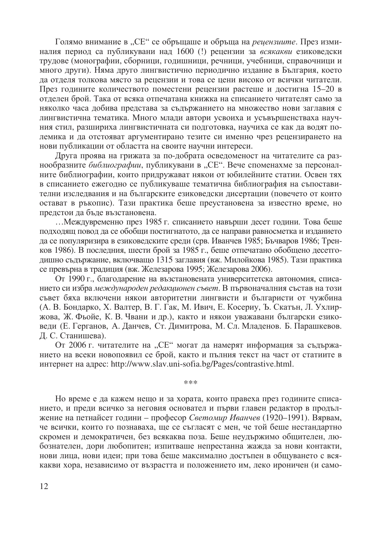Голямо внимание в "СЕ" се обръщаше и обръща на рецензиите. През изминалия период са публикувани над 1600 (!) рецензии за всякакви езиковедски трудове (монографии, сборници, годишници, речници, учебници, справочници и много други). Няма друго лингвистично периодично издание в България, което да отделя толкова място за рецензии и това се цени високо от всички читатели. През годините количеството поместени рецензии растеше и достигна 15-20 в отделен брой. Така от всяка отпечатана книжка на списанието читателят само за няколко часа добива представа за съдържанието на множество нови заглавия с лингвистична тематика. Много млади автори усвоиха и усъвършенстваха научния стил, разшириха лингвистичната си подготовка, научиха се как да водят полемика и да отстояват аргументирано тезите си именно чрез рецензирането на нови публикации от областта на своите научни интереси.

Друга проява на грижата за по-добрата осведоменост на читателите са разнообразните библиографии, публикувани в "СЕ". Вече споменахме за персоналните библиографии, които придружават някои от юбилейните статии. Освен тях в списанието ежегодно се публикуваше тематична библиография на съпоставителни изследвания и на българските езиковедски дисертации (повечето от които остават в ръкопис). Тази практика беше преустановена за известно време, но предстои да бъде възстановена.

...Межлувременно през 1985 г. списанието навърши лесет голини. Това беше подходящ повод да се обобщи постигнатото, да се направи равносметка и изданието да се популяризира в езиковедските среди (срв. Иванчев 1985; Бъчваров 1986; Тренков 1986). В последния, шести брой за 1985 г., беше отпечатано обобщено десетгодишно съдържание, включващо 1315 заглавия (вж. Милойкова 1985). Тази практика се превърна в традиция (вж. Железарова 1995; Железарова 2006).

От 1990 г., благодарение на възстановената университетска автономия, списанието си избра международен редакционен съвет. В първоначалния състав на този съвет бяха включени някои авторитетни лингвисти и българисти от чужбина (А. В. Бондарко, Х. Валтер, В. Г. Гак, М. Ивич, Е. Косериу, Ъ. Скатън, Л. Ухлиржова, Ж. Фьойе, К. В. Чвани и др.), както и някои уважавани български езиковеди (Е. Герганов, А. Данчев, Ст. Димитрова, М. Сл. Младенов. Б. Парашкевов. Д. С. Станишева).

От 2006 г. читателите на "СЕ" могат да намерят информация за съдържанието на всеки новопоявил се брой, както и пълния текст на част от статиите в интернет на адрес: http://www.slav.uni-sofia.bg/Pages/contrastive.html.

\*\*\*

Но време е да кажем нещо и за хората, които правеха през годините списанието, и преди всичко за неговия основател и първи главен редактор в продължение на петнайсет години – професор Светомир Иванчев (1920–1991). Вярвам, че всички, които го познаваха, ще се съгласят с мен, че той беше нестандартно скромен и демократичен, без всякаква поза. Беше неудържимо общителен, любознателен, дори любопитен; изпитваше непрестанна жажда за нови контакти, нови лица, нови идеи; при това беше максимално достъпен в общуването с всякакви хора, независимо от възрастта и положението им, леко ироничен (и само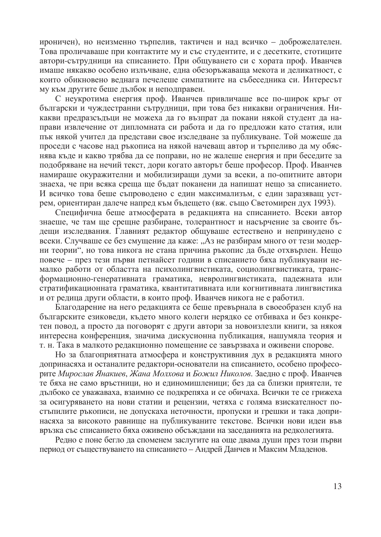ироничен), но неизменно търпелив, тактичен и над всичко – доброжелателен. Това проличаваше при контактите му и със студентите, и с десетките, стотиците автори-сътрудници на списанието. При общуването си с хората проф. Иванчев имаше някакво особено излъчване, една обезоръжаваща мекота и деликатност, с които обикновено веднага печелеше симпатиите на събеседника си. Интересът му към другите беше дълбок и неподправен.

С неукротима енергия проф. Иванчев привличаше все по-широк кръг от български и чуждестранни сътрудници, при това без никакви ограничения. Никакви предразсъдъци не можеха да го възпрат да покани някой студент да направи извлечение от липломната си работа и да го предложи като статия, или пък някой учител да представи свое изследване за публикуване. Той можеше да проседи с часове над ръкописа на някой начеващ автор и търпеливо да му обяснява къде и какво трябва да се поправи, но не жалеше енергия и при беседите за подобряване на нечий текст, дори когато авторът беше професор. Проф. Иванчев намираше окуражителни и мобилизиращи думи за всеки, а по-опитните автори знаеха, че при всяка среща ще бъдат поканени да напишат нещо за списанието. И всичко това беше съпроводено с един максимализъм, с един заразяващ устрем, ориентиран далече напред към бъдещето (вж. също Светомирен дух 1993).

Специфична беше атмосферата в редакцията на списанието. Всеки автор знаеше, че там ше срешне разбиране, толерантност и насърчение за своите бъдещи изследвания. Главният редактор общуваше естествено и непринудено с всеки. Случваше се без смущение да каже: "Аз не разбирам много от тези модерни теории", но това никога не стана причина ръкопис да бъде отхвърлен. Нещо повече - през тези първи петнайсет години в списанието бяха публикувани немалко работи от областта на психолингвистиката, социолингвистиката, трансформационно-генеративната граматика, невролингвистиката, падежната или стратификационната граматика, квантитативната или когнитивната лингвистика и от редица други области, в които проф. Иванчев никога не е работил.

Благодарение на него редакцията се беше превърнала в своеобразен клуб на българските езиковеди, където много колеги нерядко се отбиваха и без конкретен повод, а просто да поговорят с други автори за новоизлезли книги, за някоя интересна конференция, значима дискусионна публикация, нашумяла теория и т. н. Така в малкото редакционно помещение се завързваха и оживени спорове.

Но за благоприятната атмосфера и конструктивния дух в редакцията много допринасяха и останалите редактори-основатели на списанието, особено професорите Мирослав Янакиев, Жана Молхова и Божил Николов. Заедно с проф. Иванчев те бяха не само връстници, но и единомишленици; без да са близки приятели, те дълбоко се уважаваха, взаимно се подкрепяха и се обичаха. Всички те се грижеха за осигуряването на нови статии и рецензии, четяха с голяма взискателност постъпилите ръкописи, не допускаха неточности, пропуски и грешки и така допринасяха за високото равнище на публикуваните текстове. Всички нови идеи във връзка със списанието бяха оживено обсъждани на заседанията на редколегията.

Редно е поне бегло да споменем заслугите на още двама души през този първи период от съществуването на списанието – Андрей Данчев и Максим Младенов.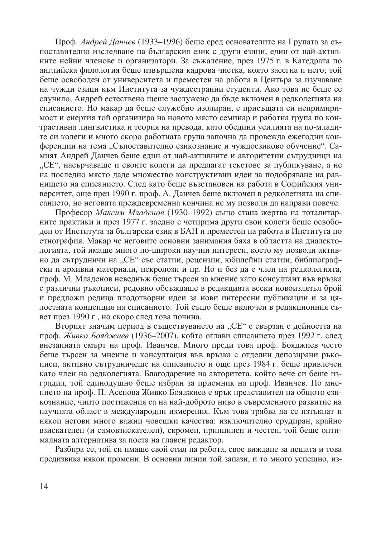Проф. Андрей Данчев (1933-1996) беше сред основателите на Групата за съпоставително изследване на българския език с други езици, един от най-активните нейни членове и организатори. За съжаление, през 1975 г. в Катедрата по английска филология беше извършена кадрова чистка, която засегна и него; той беше освободен от университета и преместен на работа в Центъра за изучаване на чужди езици към Института за чуждестранни студенти. Ако това не беше се случило, Андрей естествено щеше заслужено да бъде включен в редколегията на списанието. Но макар да беше служебно изолиран, с присъщата си непримиримост и енергия той организира на новото място семинар и работна група по контрастивна лингвистика и теория на превода, като обедини усилията на по-младите си колеги и много скоро работната група започна да провежда ежегодни конференции на тема "Съпоставително езикознание и чуждоезиково обучение". Самият Андрей Данчев беше един от най-активните и авторитетни сътрудници на "СЕ", насърчаваше и своите колеги да предлагат текстове за публикуване, а не на последно място даде множество конструктивни идеи за подобряване на равнишето на списанието. След като беше възстановен на работа в Софийския университет, още през 1990 г. проф. А. Данчев беше включен в редколегията на списанието, но неговата преждевременна кончина не му позволи да направи повече.

Професор Максим Младенов (1930-1992) също стана жертва на тоталитарните практики и през 1977 г. заелно с четирима лруги свои колеги беще освободен от Института за български език в БАН и преместен на работа в Института по етнография. Макар че неговите основни занимания бяха в областта на диалектологията, той имаше много по-широки научни интереси, което му позволи активно да сътрудничи на "СЕ" със статии, рецензии, юбилейни статии, библиографски и архивни материали, некролози и пр. Но и без да е член на редколегията, проф. М. Младенов неведнъж беше търсен за мнение като консултант във връзка с различни ръкописи, редовно обсъждаще в редакцията всеки новоизлязъл брой и предложи редица плодотворни идеи за нови интересни публикации и за цялостната концепция на списанието. Той също беше включен в редакционния съвет през 1990 г., но скоро след това почина.

Вторият значим период в съществуването на "СЕ" е свързан с дейността на проф. Живко Бояджиев (1936-2007), който оглави списанието през 1992 г. след внезапната смърт на проф. Иванчев. Много преди това проф. Бояджиев често беше търсен за мнение и консултация във връзка с отделни депозирани ръкописи, активно сътрудничеше на списанието и още през 1984 г. беше привлечен като член на редколегията. Благодарение на авторитета, който вече си беше изградил, той единодушно беше избран за приемник на проф. Иванчев. По мнението на проф. П. Асенова Живко Бояджиев е ярък представител на общото езикознание, чиито постижения са на най-доброто ниво в съвременното развитие на научната област в международни измерения. Към това трябва да се изтъкнат и някои негови много важни човешки качества: изключително ерудиран, крайно взискателен (и самовзискателен), скромен, принципен и честен, той беше оптималната алтернатива за поста на главен редактор.

Разбира се, той си имаше свой стил на работа, свое виждане за нещата и това предизвика някои промени. В основни линии той запази, и то много успешно, из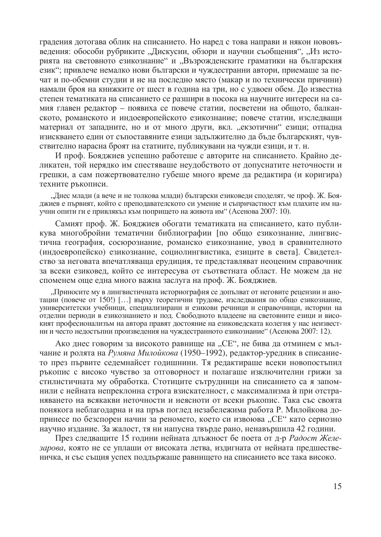градения дотогава облик на списанието. Но наред с това направи и някои нововъведения: обособи рубриките "Дискусии, обзори и научни съобщения", "Из историята на световното езикознание" и "Възрожденските граматики на българския език"; привлече немалко нови български и чуждестранни автори, приемаше за печат и по-обемни студии и не на последно място (макар и по технически причини) намали броя на книжките от шест в година на три, но с удвоен обем. До известна степен тематиката на списанието се разшири в посока на научните интереси на самия главен редактор - появиха се повече статии, посветени на общото, балканското, романското и индоевропейското езикознание; повече статии, изследващи материал от запалните, но и от много други, вкл. "екзотични" езици; отпална изискването един от съпоставяните езици задължително да бъде българският, чувствително нарасна броят на статиите, публикувани на чужди езици, и т. н.

И проф. Бояджиев успешно работеше с авторите на списанието. Крайно деликатен, той нерядко им спестяваше неудобството от допуснатите неточности и грешки, а сам пожертвователно губеше много време да редактира (и коригира) техните ръкописи.

"Днес млади (а вече и не толкова млади) български езиковеди споделят, че проф. Ж. Бояджиев е първият, който с преподавателското си умение и съпричастност към плахите им научни опити ги е привлякъл към попрището на живота им" (Асенова 2007: 10).

Самият проф. Ж. Бояджиев обогати тематиката на списанието, като публикува многобройни тематични библиографии [по общо езикознание, лингвистична география, сосюрознание, романско езикознание, увод в сравнителното (индоевропейско) езикознание, социолингвистика, езиците в света]. Свидетелство за неговата впечатляваща ерудиция, те представляват неоценим справочник за всеки езиковед, който се интересува от съответната област. Не можем да не споменем още една много важна заслуга на проф. Ж. Бояджиев.

"Приносите му в лингвистичната историография се допълват от неговите рецензии и анотации (повече от 150!) [...] върху теоретични трудове, изследвания по общо езикознание, университетски учебници, специализирани и езикови речници и справочници, истории на отделни периоди в езикознанието и под. Свободното владеене на световните езици и високият професионализъм на автора правят достояние на езиковедската колегия у нас неизвестни и често недостъпни произведения на чуждестранното езикознание" (Асенова 2007: 12).

Ако днес говорим за високото равнище на "СЕ", не бива да отминем с мълчание и ролята на Румяна Милойкова (1950-1992), редактор-уредник в списанието през първите седемнайсет годишнини. Тя редактираше всеки новопостъпил ръкопис с високо чувство за отговорност и полагаше изключителни грижи за стилистичната му обработка. Стотиците сътрудници на списанието са я запомнили с нейната непреклонна строга взискателност, с максимализма и при отстраняването на всякакви неточности и неясноти от всеки ръкопис. Така със своята понякога неблагодарна и на пръв поглед незабележима работа Р. Милойкова допринесе по безспорен начин за реномето, което си извоюва "СЕ" като сериозно научно издание. За жалост, тя ни напусна твърде рано, ненавършила 42 години.

През следващите 15 години нейната длъжност бе поета от д-р Радост Железарова, която не се уплаши от високата летва, издигната от нейната предшественичка, и със същия успех поддържаще равнището на списанието все така високо.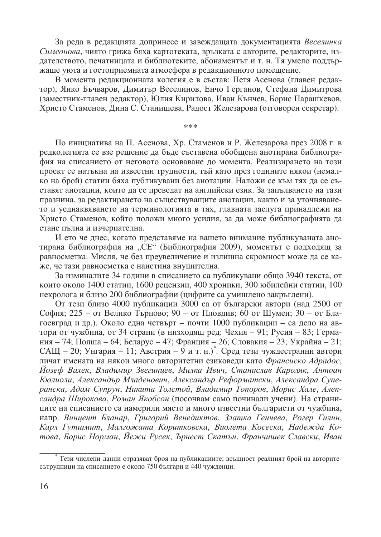За реда в редакцията допринесе и завеждащата документацията Веселинка Симеонова, чиято грижа бяха картотеката, връзката с авторите, редакторите, издателството, печатницата и библиотеките, абонаментът и т. н. Тя умело поддържаше уюта и гостоприемната атмосфера в редакционното помещение.

В момента редакционната колегия е в състав: Петя Асенова (главен редактор), Янко Бъчваров, Димитър Веселинов, Енчо Герганов, Стефана Димитрова (заместник-главен редактор), Юлия Кирилова, Иван Кънчев, Борис Парашкевов, Христо Стаменов, Дина С. Станишева, Радост Железарова (отговорен секретар).

 $***$ 

По инициатива на П. Асенова, Хр. Стаменов и Р. Железарова през 2008 г. в редколегията се взе решение да бъде съставена обобщена анотирана библиография на списанието от неговото основаване до момента. Реализирането на този проект се натъкна на известни трудности, тъй като през годините някои (немалко на брой) статии бяха публикувани без анотации. Наложи се към тях да се съставят анотации, които да се преведат на английски език. За запълването на тази празнина, за редактирането на съществуващите анотации, както и за уточняването и уеднаквяването на терминологията в тях, главната заслуга принадлежи на Христо Стаменов, който положи много усилия, за да може библиографията да стане пълна и изчерпателна.

И ето че днес, когато представяме на вашето внимание публикуваната анотирана библиография на "СЕ" (Библиография 2009), моментът е подходящ за равносметка. Мисля, че без преувеличение и излишна скромност може да се каже, че тази равносметка е наистина внушителна.

За изминалите 34 години в списанието са публикувани общо 3940 текста, от които около 1400 статии, 1600 рецензии, 400 хроники, 300 юбилейни статии, 100 некролога и близо 200 библиографии (цифрите са умишлено закръглени).

От тези близо 4000 публикации 3000 са от български автори (над 2500 от София; 225 – от Велико Търново; 90 – от Пловдив; 60 от Шумен; 30 – от Благоевград и др.). Около една четвърт – почти 1000 публикации – са дело на автори от чужбина, от 34 страни (в низходящ ред: Чехия – 91; Русия – 83; Германия – 74; Полша – 64; Беларус – 47; Франция – 26; Словакия – 23; Украйна – 21; САЩ – 20; Унгария – 11; Австрия – 9 и т. н.). Сред тези чуждестранни автори личат имената на някои много авторитетни езиковеди като Франсиско Адрадос, Иозеф Вахек, Владимир Звегинцев, Милка Ивич, Станислав Кароляк, Антоан Кюлиоли, Александър Младенович, Александър Реформатски, Александра Суперанска, Адам Супрун, Никита Толстой, Владимир Топоров, Морис Хале, Александра Широкова, Роман Якобсон (посочвам само починали учени). На страниците на списанието са намерили място и много известни българисти от чужбина, напр. Винцент Бланар, Григорий Венедиктов, Златка Генчева, Рогер Гилин, Карл Гутшмит, Малгожата Коритковска, Виолета Косеска, Надежда Котова, Борис Норман, Йежи Русек, Ърнест Скатън, Франчишек Славски, Иван

Тези числени данни отразяват броя на публикациите; всъщност реалният брой на авторитесътрудници на списанието е около 750 българи и 440 чужденци.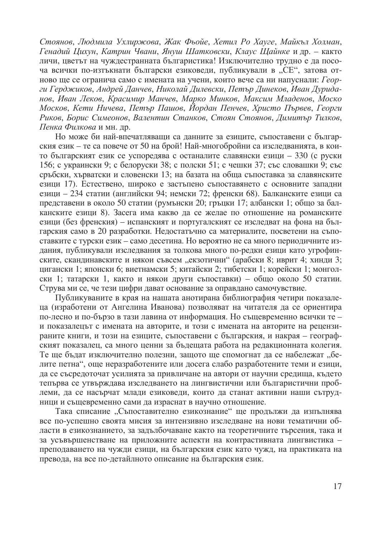Стоянов, Людмила Ухлиржова, Жак Фьойе, Хетил Ро Хауге, Майкъл Холман, Генадий Цихун, Катрин Чвани, Януш Шатковски, Клаус Щайнке и др. – както личи, цветът на чуждестранната българистика! Изключително трудно е да посоча всички по-изтъкнати български езиковеди, публикували в "СЕ", затова отново ще се огранича само с имената на учени, които вече са ни напуснали: Георги Герджиков, Андрей Данчев, Николай Дилевски, Петър Динеков, Иван Дуриданов, Иван Леков, Красимир Манчев, Марко Минков, Максим Младенов, Моско Москов, Кети Ничева, Петър Пашов, Йордан Пенчев, Христо Първев, Георги Риков, Борис Симеонов, Валентин Станков, Стоян Стоянов, Димитър Тилков, Пенка Филкова и мн. др.

Но може би най-впечатляващи са данните за езиците, съпоставени с българския език - те са повече от 50 на брой! Най-многобройни са изследванията, в които българският език се успоредява с останалите славянски езици – 330 (с руски 156; с украински 9; с белоруски 38; с полски 51; с чешки 37; със словашки 9; със сръбски, хърватски и словенски 13; на базата на обща съпоставка за славянските езици 17). Естествено, широко е застъпено съпоставянето с основните западни езици – 234 статии (английски 94; немски 72; френски 68). Балканските езици са представени в около 50 статии (румънски 20; гръцки 17; албански 1; общо за балканските езици 8). Засега има какво да се желае по отношение на романските езици (без френския) – испанският и португалският се изслелват на фона на българския само в 20 разработки. Недостатьчно са материалите, посветени на съпоставките с турски език – само десетина. Но вероятно не са много периодичните издания, публикували изследвания за толкова много по-редки езици като угрофинските, скандинавските и някои съвсем "екзотични" (арабски 8; иврит 4; хинди 3; цигански 1; японски 6; виетнамски 5; китайски 2; тибетски 1; корейски 1; монголски 1; татарски 1, както и някои други съпоставки) – общо около 50 статии. Струва ми се, че тези цифри дават основание за оправдано самочувствие.

Публикуваните в края на нашата анотирана библиография четири показалеца (изработени от Ангелина Иванова) позволяват на читателя да се ориентира по-лесно и по-бързо в тази лавина от информация. Но същевременно всички те и показалецът с имената на авторите, и този с имената на авторите на рецензираните книги, и този на езиците, съпоставени с българския, и накрая – географският показалец, са много ценни за бъдещата работа на редакционната колегия. Те ще бъдат изключително полезни, защото ще спомогнат да се набележат "белите петна", още неразработените или досега слабо разработените теми и езици, да се съсредоточат усилията за привличане на автори от научни средища, където тепърва се утвърждава изследването на лингвистични или българистични проблеми, да се насърчат млади езиковеди, които да станат активни наши сътрудници и същевременно сами да израснат в научно отношение.

Така списание "Съпоставително езикознание" ще продължи да изпълнява все по-успешно своята мисия за интензивно изследване на нови тематични области в езикознанието, за задълбочаване както на теоретичните търсения, така и за усъвършенстване на приложните аспекти на контрастивната лингвистика преподаването на чужди езици, на българския език като чужд, на практиката на превода, на все по-детайлното описание на българския език.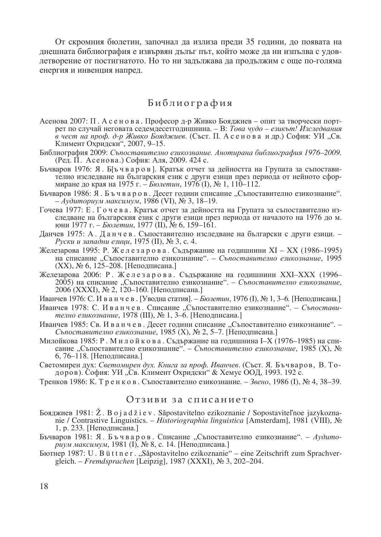От скромния бюлетин, започнал да излиза преди 35 години, до появата на днешната библиография е извървян дълъг път, който може да ни изпълва с удовлетворение от постигнатото. Но то ни задължава да продължим с още по-голяма енергия и инвенция напред.

## Библиография

- Асенова 2007: П. А с е но в а. Професор д-р Живко Бояджиев опит за творчески портрет по случай неговата седемдесетгодишнина. – В: *Това чудо – езикът! Изследвания* в чест на проф. д-р Живко Бояджиев. (Съст. П. А с е н о в а и др.) София: УИ "Св. Климент Охридски", 2007, 9-15.
- Библиография 2009: Съпоставително езикознание. Анотирана библиография 1976–2009. (Ред. П. Асенова.) София: Аля, 2009. 424 с.
- Бъчваров 1976: Я. Б[ъчваров]. Кратък отчет за дейността на Групата за съпоставително изследване на българския език с други езици през периода от нейното сформиране до края на 1975 г. – Бюлетин, 1976 (I), № 1, 110–112.
- Бъчваров 1986: Я. Бъчваров. Десет години списание "Съпоставително езикознание".  $- Ay\$ диториум максимум, 1986 (VI), № 3, 18–19.
- Гочева 1977: Е. Гочева. Кратък отчет за дейността на Групата за съпоставително изследване на българския език с други езици през периода от началото на 1976 до м. юни 1977 г. – *Бюлетин*, 1977 (II), № 6, 159–161.
- Данчев 1975: А. Данчев. Съпоставително изследване на български с други езици. Руски и западни езици, 1975 (II),  $N_2$  3, с. 4.
- Железарова 1995: Р. Железарова. Съдържание на годишнини XI XX (1986–1995) на списание "Съпоставително езикознание". – Съпоставително езикознание, 1995 (XX), № 6, 125-208. [Неподписана.]
- Железарова 2006: Р. Железарова. Съдържание на годишнини XXI-XXX (1996-2005) на списание "Съпоставително езикознание". – Съпоставително езикознание, 2006 (XXXI), № 2, 120-160. [Неподписана.]
- Иванчев 1976: С. И в а н ч е в . [Уводна статия]. *Бюлетин*, 1976 (I), № 1, 3–6. [Неподписана.]
- Иванчев 1978: С. И в а н ч е в . Списание "Съпоставително езикознание". *Съпостави*телно езикознание, 1978 (III),  $N_2$  1, 3–6. [Неподписана.]
- Иванчев 1985: Св. И в а н ч е в. Десет години списание "Съпоставително езикознание". -Съпоставително езикознание, 1985 (X), № 2, 5–7. [Неподписана.]
- Милойкова 1985: Р. Милойкова. Съдържание на годишнина I–X (1976–1985) на списание "Съпоставително езикознание". – *Съпоставително езикознание*, 1985 (X), № 6, 76–118. [Неподписана.]
- Светомирен дух: Светомирен дух. Книга за проф. Иванчев. (Съст. Я. Бъчваров, В. Тодоров). София: УИ "Св. Климент Охридски" & Хемус ООД, 1993. 192 с.
- Тренков 1986: К. Тренков. Съпоставително езикознание. Звено, 1986 (I), № 4, 38–39.

## Отзиви за списанието

- $\Delta$  EOSA EXPADENTIE is  $\Delta$  is a d  $\Delta$  i e v . Sapostavitelno ezikoznanie / Sopostaviteľnoe jazykoznanie / Contrastive Linguistics. – *Historiographia linguistica* [Amsterdam], 1981 (VIII), 6 1, р. 233. [Неподписана.]
- Бъчваров 1981: Я. Бъчваров. Списание "Съпоставително езикознание". *Аудито*риум максимум, 1981 (I), № 8, с. 14. [Неподписана.]
- 1987: U . B ü t t n e r . "SDpostavitelno ezikoznanie" eine Zeitschrift zum Sprachvergleich. – *Fremdsprachen* [Leipzig], 1987 (XXXI), № 3, 202–204.